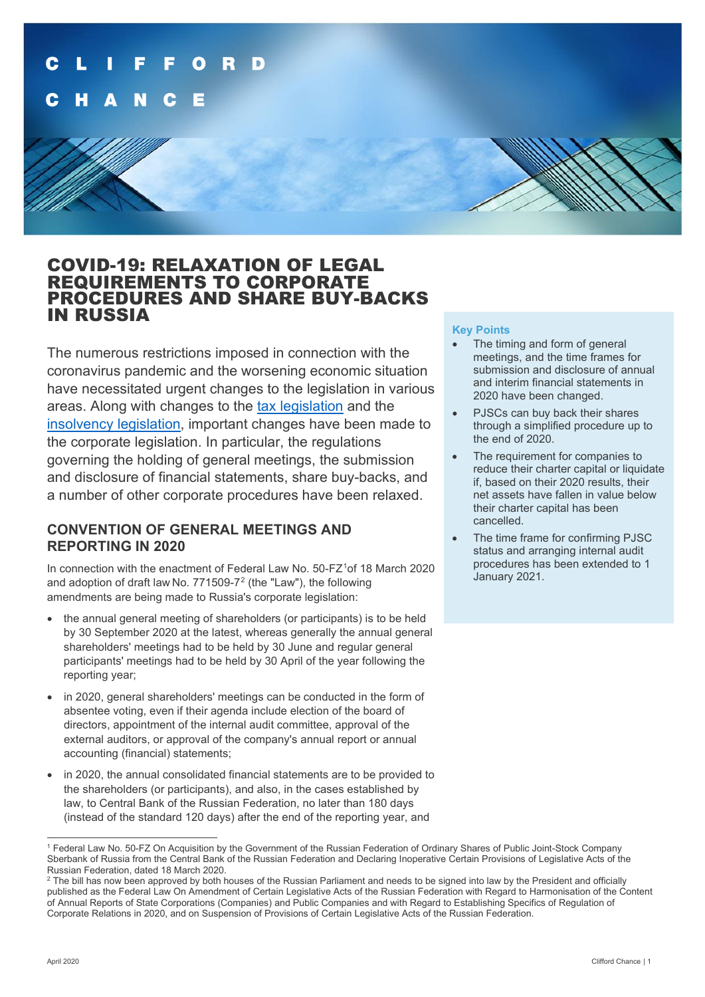

# COVID-19: RELAXATION OF LEGAL REQUIREMENTS TO CORPORATE PROCEDURES AND SHARE BUY-BACKS IN RUSSIA

The numerous restrictions imposed in connection with the coronavirus pandemic and the worsening economic situation have necessitated urgent changes to the legislation in various areas. Along with changes to the [tax legislation](https://www.cliffordchance.com/briefings/2020/03/russian-president-announces-russia-s-anti-covid-19-action-plan-.html) and the [insolvency legislation,](https://www.cliffordchance.com/briefings/2020/03/russian-parliament-approves-changes-to-legislation-setting-out-t.html) important changes have been made to the corporate legislation. In particular, the regulations governing the holding of general meetings, the submission and disclosure of financial statements, share buy-backs, and a number of other corporate procedures have been relaxed.

## **CONVENTION OF GENERAL MEETINGS AND REPORTING IN 2020**

In connection with the enactment of Federal Law No. 50-FZ<sup>[1](#page-0-0)</sup>of 18 March 2020 and adoption of draft law No.  $771509-7^2$  $771509-7^2$  (the "Law"), the following amendments are being made to Russia's corporate legislation:

- the annual general meeting of shareholders (or participants) is to be held by 30 September 2020 at the latest, whereas generally the annual general shareholders' meetings had to be held by 30 June and regular general participants' meetings had to be held by 30 April of the year following the reporting year;
- in 2020, general shareholders' meetings can be conducted in the form of absentee voting, even if their agenda include election of the board of directors, appointment of the internal audit committee, approval of the external auditors, or approval of the company's annual report or annual accounting (financial) statements;
- in 2020, the annual consolidated financial statements are to be provided to the shareholders (or participants), and also, in the cases established by law, to Central Bank of the Russian Federation, no later than 180 days (instead of the standard 120 days) after the end of the reporting year, and

## **Key Points**

- The timing and form of general meetings, and the time frames for submission and disclosure of annual and interim financial statements in 2020 have been changed.
- PJSCs can buy back their shares through a simplified procedure up to the end of 2020.
- The requirement for companies to reduce their charter capital or liquidate if, based on their 2020 results, their net assets have fallen in value below their charter capital has been cancelled.
- The time frame for confirming PJSC status and arranging internal audit procedures has been extended to 1 January 2021.

<span id="page-0-0"></span><sup>1</sup> Federal Law No. 50-FZ On Acquisition by the Government of the Russian Federation of Ordinary Shares of Public Joint-Stock Company Sberbank of Russia from the Central Bank of the Russian Federation and Declaring Inoperative Certain Provisions of Legislative Acts of the Russian Federation, dated 18 March 2020.

<span id="page-0-1"></span> $2$  The bill has now been approved by both houses of the Russian Parliament and needs to be signed into law by the President and officially published as the Federal Law On Amendment of Certain Legislative Acts of the Russian Federation with Regard to Harmonisation of the Content of Annual Reports of State Corporations (Companies) and Public Companies and with Regard to Establishing Specifics of Regulation of Corporate Relations in 2020, and on Suspension of Provisions of Certain Legislative Acts of the Russian Federation.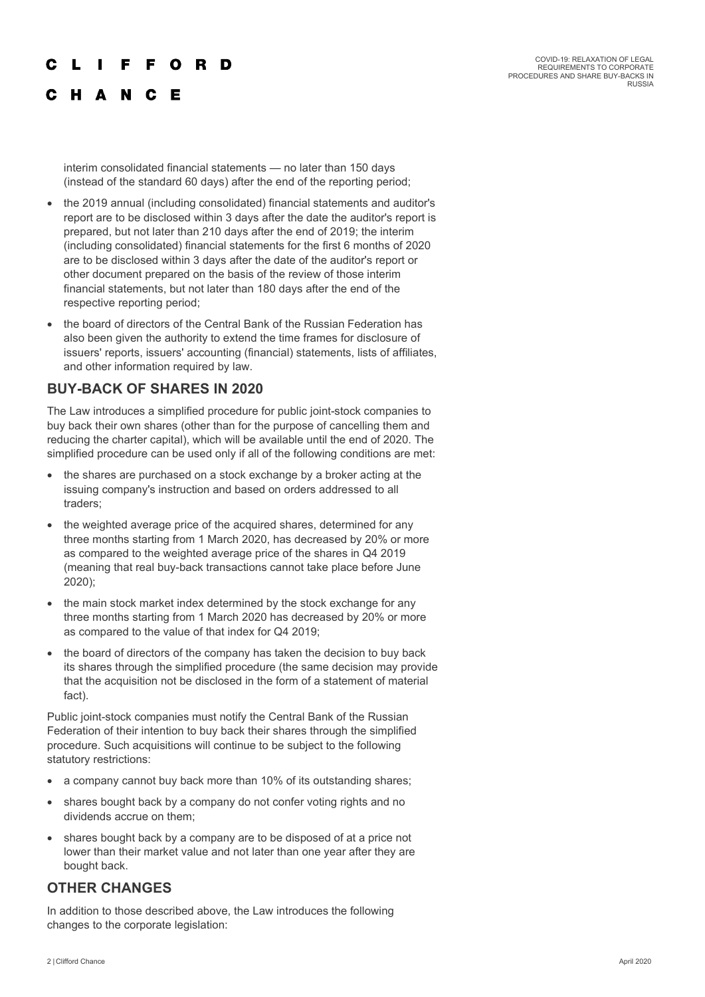### O R E

C H A N C E

interim consolidated financial statements — no later than 150 days (instead of the standard 60 days) after the end of the reporting period;

- the 2019 annual (including consolidated) financial statements and auditor's report are to be disclosed within 3 days after the date the auditor's report is prepared, but not later than 210 days after the end of 2019; the interim (including consolidated) financial statements for the first 6 months of 2020 are to be disclosed within 3 days after the date of the auditor's report or other document prepared on the basis of the review of those interim financial statements, but not later than 180 days after the end of the respective reporting period;
- the board of directors of the Central Bank of the Russian Federation has also been given the authority to extend the time frames for disclosure of issuers' reports, issuers' accounting (financial) statements, lists of affiliates, and other information required by law.

## **BUY-BACK OF SHARES IN 2020**

The Law introduces a simplified procedure for public joint-stock companies to buy back their own shares (other than for the purpose of cancelling them and reducing the charter capital), which will be available until the end of 2020. The simplified procedure can be used only if all of the following conditions are met:

- the shares are purchased on a stock exchange by a broker acting at the issuing company's instruction and based on orders addressed to all traders;
- the weighted average price of the acquired shares, determined for any three months starting from 1 March 2020, has decreased by 20% or more as compared to the weighted average price of the shares in Q4 2019 (meaning that real buy-back transactions cannot take place before June 2020);
- the main stock market index determined by the stock exchange for any three months starting from 1 March 2020 has decreased by 20% or more as compared to the value of that index for Q4 2019;
- the board of directors of the company has taken the decision to buy back its shares through the simplified procedure (the same decision may provide that the acquisition not be disclosed in the form of a statement of material fact).

Public joint-stock companies must notify the Central Bank of the Russian Federation of their intention to buy back their shares through the simplified procedure. Such acquisitions will continue to be subject to the following statutory restrictions:

- a company cannot buy back more than 10% of its outstanding shares;
- shares bought back by a company do not confer voting rights and no dividends accrue on them;
- shares bought back by a company are to be disposed of at a price not lower than their market value and not later than one year after they are bought back.

## **OTHER CHANGES**

In addition to those described above, the Law introduces the following changes to the corporate legislation: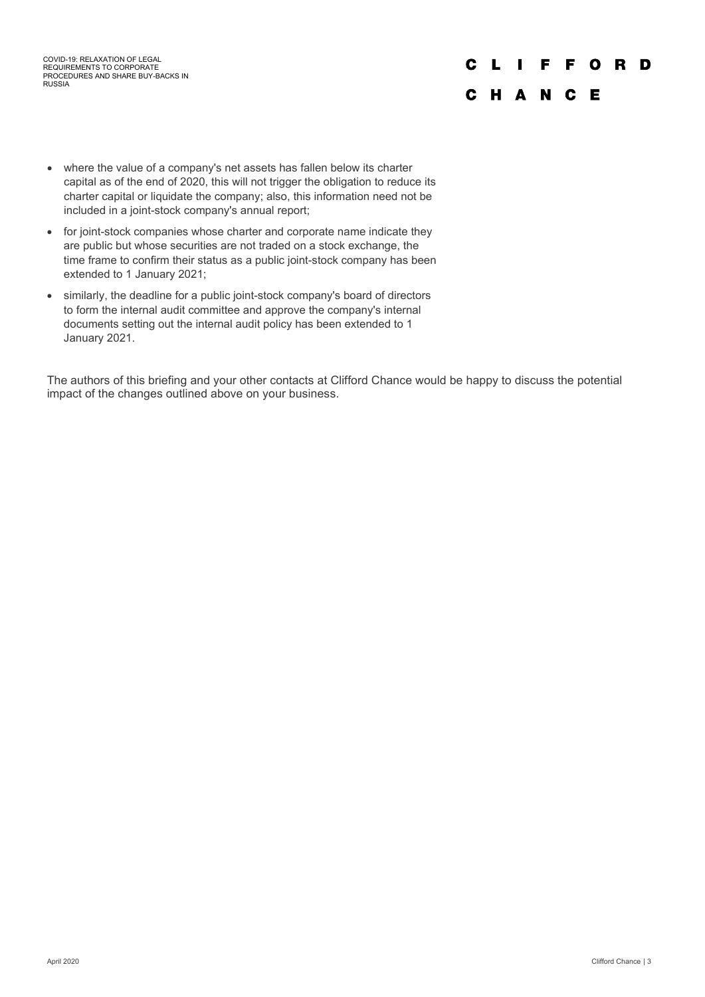COVID-19: RELAXATION OF LEGAL REQUIREMENTS TO CORPORATE PROCEDURES AND SHARE BUY-BACKS IN RUSSIA

### **FFORD** C  $\mathbf{L}$  $\mathbf{I}$ C H A N C E

# • where the value of a company's net assets has fallen below its charter capital as of the end of 2020, this will not trigger the obligation to reduce its charter capital or liquidate the company; also, this information need not be

• for joint-stock companies whose charter and corporate name indicate they are public but whose securities are not traded on a stock exchange, the time frame to confirm their status as a public joint-stock company has been extended to 1 January 2021;

included in a joint-stock company's annual report;

• similarly, the deadline for a public joint-stock company's board of directors to form the internal audit committee and approve the company's internal documents setting out the internal audit policy has been extended to 1 January 2021.

The authors of this briefing and your other contacts at Clifford Chance would be happy to discuss the potential impact of the changes outlined above on your business.